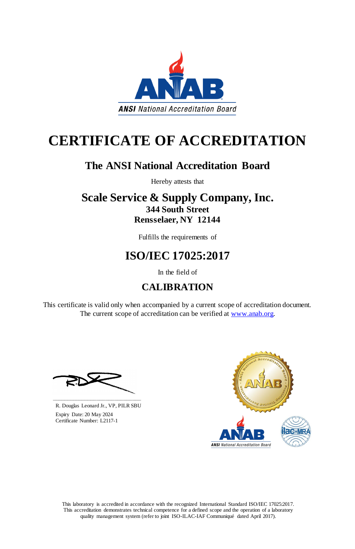This laboratory is accredited in accordance with the recognized International Standard ISO/IEC 17025:2017. This accreditation demonstrates technical competence for a defined scope and the operation of a laboratory quality management system (refer to joint ISO-ILAC-IAF Communiqué dated April 2017).

This certificate is valid only when accompanied by a current scope of accreditation document. The current scope of accreditation can be verified at [www.anab.org.](http://www.anab.org/)



# **CERTIFICATE OF ACCREDITATION**

# **The ANSI National Accreditation Board**

Hereby attests that

### **Scale Service & Supply Company, Inc. 344 South Street Rensselaer, NY 12144**

Fulfills the requirements of

# **ISO/IEC 17025:2017**

In the field of

### **CALIBRATION**





R. Douglas Leonard Jr., VP, PILR SBU

 Expiry Date: 20 May 2024 Certificate Number: L2117-1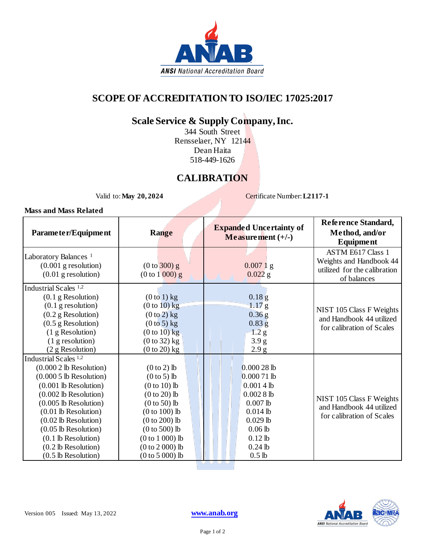

### **SCOPE OF ACCREDITATION TO ISO/IEC 17025:2017**

### **Scale Service & Supply Company, Inc.**

344 South Street Rensselaer, NY 12144 Dean Haita 518-449-1626

#### **CALIBRATION**

Valid to: **May** 20, 2024 **Certificate Number: L2117-1** 

#### **Mass and Mass Related**

| Parameter/Equipment                                                                                                                                                                                                                                                                                                              | <b>Range</b>                                                                                                                                                                                                 | <b>Expanded Uncertainty of</b><br>Measurement $(+/-)$                                                                                                        | Reference Standard,<br>Method, and/or<br><b>Equipment</b>                                          |
|----------------------------------------------------------------------------------------------------------------------------------------------------------------------------------------------------------------------------------------------------------------------------------------------------------------------------------|--------------------------------------------------------------------------------------------------------------------------------------------------------------------------------------------------------------|--------------------------------------------------------------------------------------------------------------------------------------------------------------|----------------------------------------------------------------------------------------------------|
| Laboratory Balances <sup>1</sup><br>$(0.001$ g resolution)<br>$(0.01$ g resolution)                                                                                                                                                                                                                                              | (0 to 300) g<br>$(0 to 1 000)$ g                                                                                                                                                                             | $0.0071$ g<br>$0.022$ g                                                                                                                                      | <b>ASTM E617 Class 1</b><br>Weights and Handbook 44<br>utilized for the calibration<br>of balances |
| Industrial Scales <sup>1,2</sup><br>$(0.1$ g Resolution)<br>$(0.1$ g resolution)<br>$(0.2$ g Resolution)<br>$(0.5$ g Resolution)<br>(1 g Resolution)<br>(1 g resolution)<br>(2 g Resolution)                                                                                                                                     | $(0 to 1)$ kg<br>$(0 to 10)$ kg<br>$(0 to 2)$ kg<br>$(0 to 5)$ kg<br>$(0 to 10)$ kg<br>$(0 to 32)$ kg<br>$(0 to 20)$ kg                                                                                      | 0.18 <sub>g</sub><br>1.17 <sub>g</sub><br>$0.36$ g<br>$0.83$ g<br>1.2 g<br>3.9 <sub>g</sub><br>2.9 g                                                         | NIST 105 Class F Weights<br>and Handbook 44 utilized<br>for calibration of Scales                  |
| Industrial Scales <sup>1,2</sup><br>$(0.0002$ lb Resolution)<br>$(0.0005$ lb Resolution)<br>$(0.001$ lb Resolution)<br>$(0.002$ lb Resolution)<br>$(0.005$ lb Resolution)<br>$(0.01$ lb Resolution)<br>$(0.02$ lb Resolution)<br>$(0.05$ lb Resolution)<br>$(0.1$ lb Resolution)<br>(0.2 lb Resolution)<br>$(0.5$ lb Resolution) | $(0 to 2)$ lb<br>$(0 to 5)$ lb<br>$(0 to 10)$ lb<br>$(0 to 20)$ lb<br>$(0 to 50)$ lb<br>$(0 to 100)$ lb<br>$(0 to 200)$ lb<br>$(0 to 500)$ lb<br>$(0 to 1 000)$ lb<br>$(0 to 2 000)$ lb<br>$(0 to 5 000)$ lb | $0.00028$ lb<br>$0.00071$ lb<br>$0.0014$ lb<br>0.00281<br>$0.007$ lb<br>$0.014$ lb<br>$0.029$ lb<br>$0.06$ lb<br>$0.12$ lb<br>$0.24$ lb<br>0.5 <sub>lb</sub> | NIST 105 Class F Weights<br>and Handbook 44 utilized<br>for calibration of Scales                  |